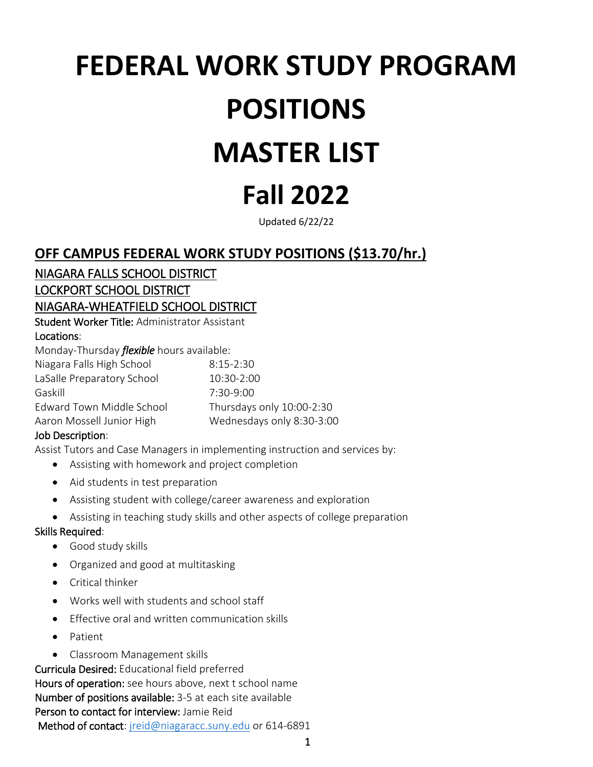# **FEDERAL WORK STUDY PROGRAM POSITIONS MASTER LIST**

# **Fall 2022**

Updated 6/22/22

# **OFF CAMPUS FEDERAL WORK STUDY POSITIONS (\$13.70/hr.)**

NIAGARA FALLS SCHOOL DISTRICT LOCKPORT SCHOOL DISTRICT

NIAGARA-WHEATFIELD SCHOOL DISTRICT

Student Worker Title: Administrator Assistant Locations:

Monday-Thursday *flexible* hours available:

| $8:15-2:30$               |
|---------------------------|
| 10:30-2:00                |
| $7:30-9:00$               |
| Thursdays only 10:00-2:30 |
| Wednesdays only 8:30-3:00 |
|                           |

# Job Description:

Assist Tutors and Case Managers in implementing instruction and services by:

- Assisting with homework and project completion
- Aid students in test preparation
- Assisting student with college/career awareness and exploration
- Assisting in teaching study skills and other aspects of college preparation

#### Skills Required:

- Good study skills
- Organized and good at multitasking
- Critical thinker
- Works well with students and school staff
- Effective oral and written communication skills
- Patient
- Classroom Management skills

Curricula Desired: Educational field preferred Hours of operation: see hours above, next t school name Number of positions available: 3-5 at each site available Person to contact for interview: Jamie Reid Method of contact: [jreid@niagaracc.suny.edu](mailto:jreid@niagaracc.suny.edu) or 614-6891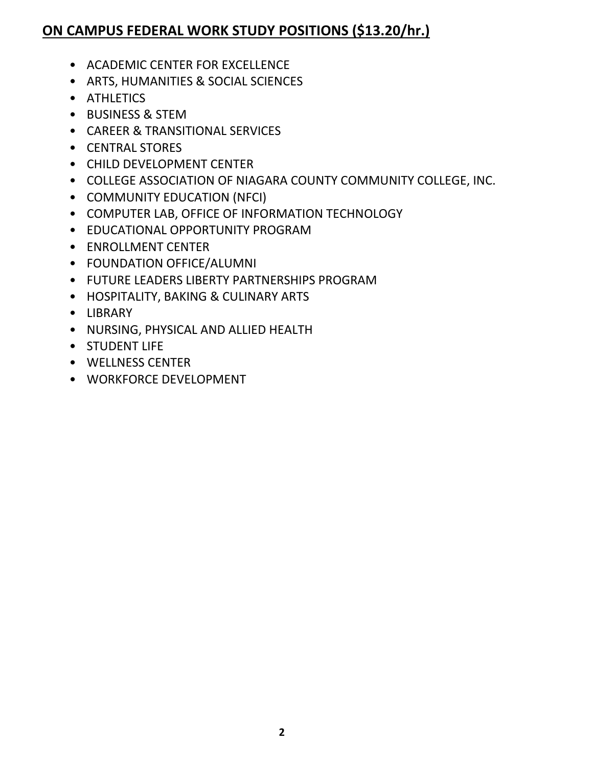# **ON CAMPUS FEDERAL WORK STUDY POSITIONS (\$13.20/hr.)**

- ACADEMIC CENTER FOR EXCELLENCE
- ARTS, HUMANITIES & SOCIAL SCIENCES
- ATHLETICS
- BUSINESS & STEM
- CAREER & TRANSITIONAL SERVICES
- CENTRAL STORES
- CHILD DEVELOPMENT CENTER
- COLLEGE ASSOCIATION OF NIAGARA COUNTY COMMUNITY COLLEGE, INC.
- COMMUNITY EDUCATION (NFCI)
- COMPUTER LAB, OFFICE OF INFORMATION TECHNOLOGY
- EDUCATIONAL OPPORTUNITY PROGRAM
- ENROLLMENT CENTER
- FOUNDATION OFFICE/ALUMNI
- FUTURE LEADERS LIBERTY PARTNERSHIPS PROGRAM
- HOSPITALITY, BAKING & CULINARY ARTS
- LIBRARY
- NURSING, PHYSICAL AND ALLIED HEALTH
- STUDENT LIFE
- WELLNESS CENTER
- WORKFORCE DEVELOPMENT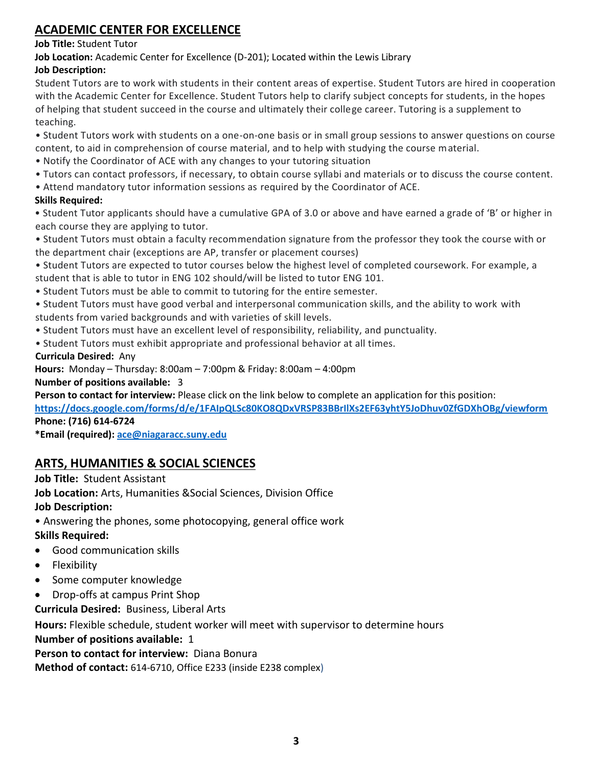# **ACADEMIC CENTER FOR EXCELLENCE**

#### **Job Title:** Student Tutor

**Job Location:** Academic Center for Excellence (D-201); Located within the Lewis Library

# **Job Description:**

Student Tutors are to work with students in their content areas of expertise. Student Tutors are hired in cooperation with the Academic Center for Excellence. Student Tutors help to clarify subject concepts for students, in the hopes of helping that student succeed in the course and ultimately their college career. Tutoring is a supplement to teaching.

• Student Tutors work with students on a one-on-one basis or in small group sessions to answer questions on course content, to aid in comprehension of course material, and to help with studying the course material.

- Notify the Coordinator of ACE with any changes to your tutoring situation
- Tutors can contact professors, if necessary, to obtain course syllabi and materials or to discuss the course content.
- Attend mandatory tutor information sessions as required by the Coordinator of ACE.

#### **Skills Required:**

• Student Tutor applicants should have a cumulative GPA of 3.0 or above and have earned a grade of 'B' or higher in each course they are applying to tutor.

• Student Tutors must obtain a faculty recommendation signature from the professor they took the course with or the department chair (exceptions are AP, transfer or placement courses)

• Student Tutors are expected to tutor courses below the highest level of completed coursework. For example, a student that is able to tutor in ENG 102 should/will be listed to tutor ENG 101.

- Student Tutors must be able to commit to tutoring for the entire semester.
- Student Tutors must have good verbal and interpersonal communication skills, and the ability to work with students from varied backgrounds and with varieties of skill levels.
- Student Tutors must have an excellent level of responsibility, reliability, and punctuality.
- Student Tutors must exhibit appropriate and professional behavior at all times.

**Curricula Desired:** Any

**Hours:** Monday – Thursday: 8:00am – 7:00pm & Friday: 8:00am – 4:00pm

#### **Number of positions available:** 3

**Person to contact for interview:** Please click on the link below to complete an application for this position:

**<https://docs.google.com/forms/d/e/1FAIpQLSc80KO8QDxVRSP83BBrIlXs2EF63yhtY5JoDhuv0ZfGDXhOBg/viewform> Phone: (716) 614-6724**

**\*Email (required): [ace@niagaracc.suny.edu](mailto:ace@niagaracc.suny.edu)**

# **ARTS, HUMANITIES & SOCIAL SCIENCES**

**Job Title:** Student Assistant

**Job Location:** Arts, Humanities &Social Sciences, Division Office

# **Job Description:**

• Answering the phones, some photocopying, general office work

# **Skills Required:**

- Good communication skills
- **Flexibility**
- Some computer knowledge
- Drop-offs at campus Print Shop
- **Curricula Desired:** Business, Liberal Arts

**Hours:** Flexible schedule, student worker will meet with supervisor to determine hours **Number of positions available:** 1 **Person to contact for interview:** Diana Bonura

**Method of contact:** 614-6710, Office E233 (inside E238 complex)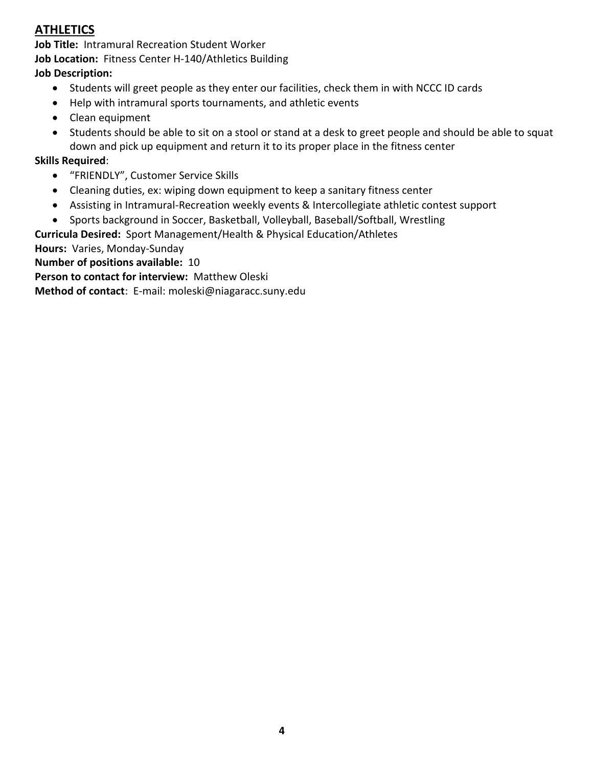# **ATHLETICS**

**Job Title:** Intramural Recreation Student Worker **Job Location:** Fitness Center H-140/Athletics Building

#### **Job Description:**

- Students will greet people as they enter our facilities, check them in with NCCC ID cards
- Help with intramural sports tournaments, and athletic events
- Clean equipment
- Students should be able to sit on a stool or stand at a desk to greet people and should be able to squat down and pick up equipment and return it to its proper place in the fitness center

# **Skills Required**:

- "FRIENDLY", Customer Service Skills
- Cleaning duties, ex: wiping down equipment to keep a sanitary fitness center
- Assisting in Intramural-Recreation weekly events & Intercollegiate athletic contest support
- Sports background in Soccer, Basketball, Volleyball, Baseball/Softball, Wrestling

**Curricula Desired:** Sport Management/Health & Physical Education/Athletes

**Hours:** Varies, Monday-Sunday

**Number of positions available:** 10

**Person to contact for interview:** Matthew Oleski

**Method of contact**: E-mail: moleski@niagaracc.suny.edu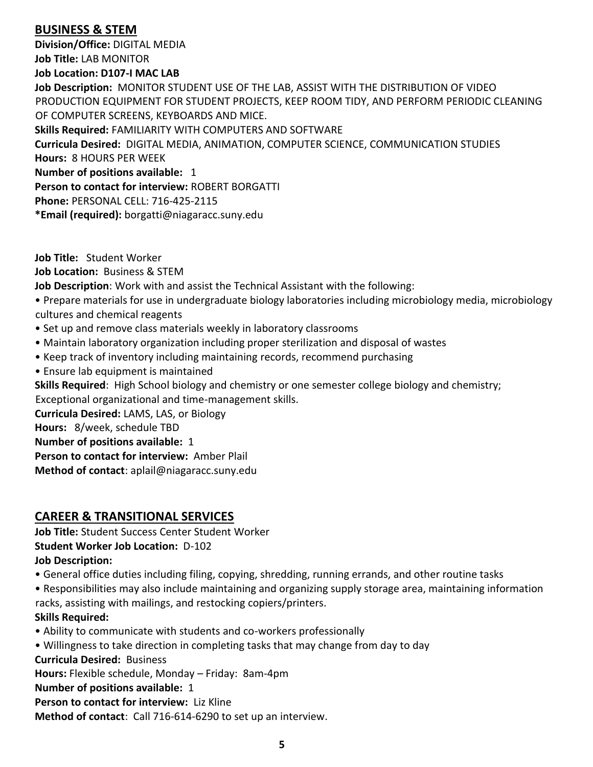# **BUSINESS & STEM**

**Division/Office:** DIGITAL MEDIA **Job Title:** LAB MONITOR

#### **Job Location: D107-I MAC LAB**

**Job Description:** MONITOR STUDENT USE OF THE LAB, ASSIST WITH THE DISTRIBUTION OF VIDEO PRODUCTION EQUIPMENT FOR STUDENT PROJECTS, KEEP ROOM TIDY, AND PERFORM PERIODIC CLEANING OF COMPUTER SCREENS, KEYBOARDS AND MICE. **Skills Required:** FAMILIARITY WITH COMPUTERS AND SOFTWARE

**Curricula Desired:** DIGITAL MEDIA, ANIMATION, COMPUTER SCIENCE, COMMUNICATION STUDIES **Hours:** 8 HOURS PER WEEK

**Number of positions available:** 1

**Person to contact for interview:** ROBERT BORGATTI

**Phone:** PERSONAL CELL: 716-425-2115

**\*Email (required):** borgatti@niagaracc.suny.edu

**Job Title:** Student Worker

**Job Location:** Business & STEM

**Job Description**: Work with and assist the Technical Assistant with the following:

• Prepare materials for use in undergraduate biology laboratories including microbiology media, microbiology cultures and chemical reagents

- Set up and remove class materials weekly in laboratory classrooms
- Maintain laboratory organization including proper sterilization and disposal of wastes
- Keep track of inventory including maintaining records, recommend purchasing
- Ensure lab equipment is maintained

**Skills Required**: High School biology and chemistry or one semester college biology and chemistry; Exceptional organizational and time-management skills.

**Curricula Desired:** LAMS, LAS, or Biology

**Hours:** 8/week, schedule TBD

**Number of positions available:** 1

**Person to contact for interview:** Amber Plail

**Method of contact**: aplail@niagaracc.suny.edu

# **CAREER & TRANSITIONAL SERVICES**

**Job Title:** Student Success Center Student Worker

**Student Worker Job Location:** D-102

**Job Description:** 

• General office duties including filing, copying, shredding, running errands, and other routine tasks

• Responsibilities may also include maintaining and organizing supply storage area, maintaining information racks, assisting with mailings, and restocking copiers/printers.

# **Skills Required:**

- Ability to communicate with students and co-workers professionally
- Willingness to take direction in completing tasks that may change from day to day

**Curricula Desired:** Business

**Hours:** Flexible schedule, Monday – Friday: 8am-4pm

**Number of positions available:** 1

**Person to contact for interview:** Liz Kline

**Method of contact**: Call 716-614-6290 to set up an interview.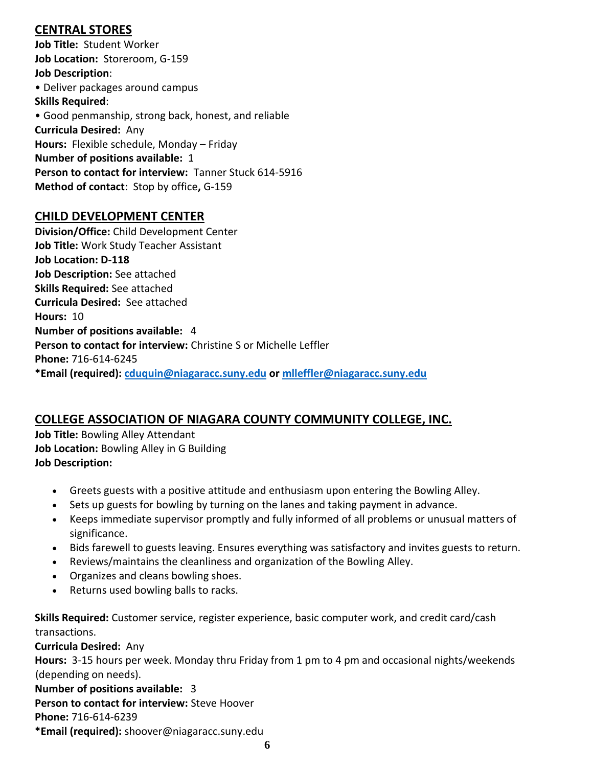# **CENTRAL STORES**

**Job Title:** Student Worker **Job Location:** Storeroom, G-159 **Job Description**: • Deliver packages around campus **Skills Required**: • Good penmanship, strong back, honest, and reliable **Curricula Desired:** Any **Hours:** Flexible schedule, Monday – Friday **Number of positions available:** 1 **Person to contact for interview:** Tanner Stuck 614-5916 **Method of contact**: Stop by office**,** G-159

# **CHILD DEVELOPMENT CENTER**

**Division/Office:** Child Development Center **Job Title:** Work Study Teacher Assistant **Job Location: D-118 Job Description:** See attached **Skills Required:** See attached **Curricula Desired:** See attached **Hours:** 10 **Number of positions available:** 4 **Person to contact for interview:** Christine S or Michelle Leffler **Phone:** 716-614-6245 **\*Email (required): [cduquin@niagaracc.suny.edu](mailto:cduquin@niagaracc.suny.edu) or [mlleffler@niagaracc.suny.edu](mailto:mlleffler@niagaracc.suny.edu)**

# **COLLEGE ASSOCIATION OF NIAGARA COUNTY COMMUNITY COLLEGE, INC.**

**Job Title:** Bowling Alley Attendant **Job Location:** Bowling Alley in G Building **Job Description:**

- Greets guests with a positive attitude and enthusiasm upon entering the Bowling Alley.
- Sets up guests for bowling by turning on the lanes and taking payment in advance.
- Keeps immediate supervisor promptly and fully informed of all problems or unusual matters of significance.
- Bids farewell to guests leaving. Ensures everything was satisfactory and invites guests to return.
- Reviews/maintains the cleanliness and organization of the Bowling Alley.
- Organizes and cleans bowling shoes.
- Returns used bowling balls to racks.

**Skills Required:** Customer service, register experience, basic computer work, and credit card/cash transactions.

**Curricula Desired:** Any

**Hours:** 3-15 hours per week. Monday thru Friday from 1 pm to 4 pm and occasional nights/weekends (depending on needs).

**Number of positions available:** 3 **Person to contact for interview:** Steve Hoover **Phone:** 716-614-6239 **\*Email (required):** shoover@niagaracc.suny.edu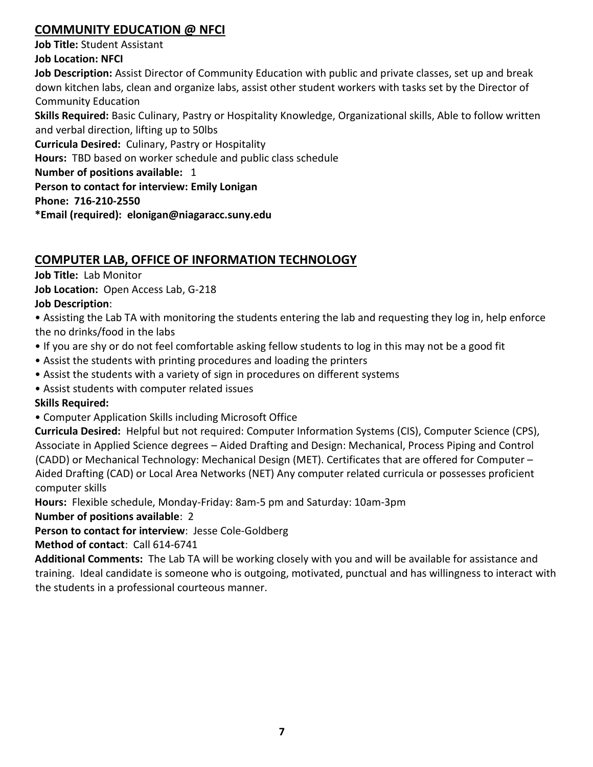# **COMMUNITY EDUCATION @ NFCI**

**Job Title:** Student Assistant

**Job Location: NFCI**

**Job Description:** Assist Director of Community Education with public and private classes, set up and break down kitchen labs, clean and organize labs, assist other student workers with tasks set by the Director of Community Education

**Skills Required:** Basic Culinary, Pastry or Hospitality Knowledge, Organizational skills, Able to follow written and verbal direction, lifting up to 50lbs

**Curricula Desired:** Culinary, Pastry or Hospitality

**Hours:** TBD based on worker schedule and public class schedule

**Number of positions available:** 1

**Person to contact for interview: Emily Lonigan**

**Phone: 716-210-2550**

**\*Email (required): elonigan@niagaracc.suny.edu**

# **COMPUTER LAB, OFFICE OF INFORMATION TECHNOLOGY**

**Job Title:** Lab Monitor

**Job Location:** Open Access Lab, G-218

# **Job Description**:

• Assisting the Lab TA with monitoring the students entering the lab and requesting they log in, help enforce the no drinks/food in the labs

- If you are shy or do not feel comfortable asking fellow students to log in this may not be a good fit
- Assist the students with printing procedures and loading the printers
- Assist the students with a variety of sign in procedures on different systems

• Assist students with computer related issues

**Skills Required:**

• Computer Application Skills including Microsoft Office

**Curricula Desired:** Helpful but not required: Computer Information Systems (CIS), Computer Science (CPS), Associate in Applied Science degrees – Aided Drafting and Design: Mechanical, Process Piping and Control (CADD) or Mechanical Technology: Mechanical Design (MET). Certificates that are offered for Computer – Aided Drafting (CAD) or Local Area Networks (NET) Any computer related curricula or possesses proficient computer skills

**Hours:** Flexible schedule, Monday-Friday: 8am-5 pm and Saturday: 10am-3pm

**Number of positions available**: 2

**Person to contact for interview**: Jesse Cole-Goldberg

**Method of contact**: Call 614-6741

**Additional Comments:** The Lab TA will be working closely with you and will be available for assistance and training. Ideal candidate is someone who is outgoing, motivated, punctual and has willingness to interact with the students in a professional courteous manner.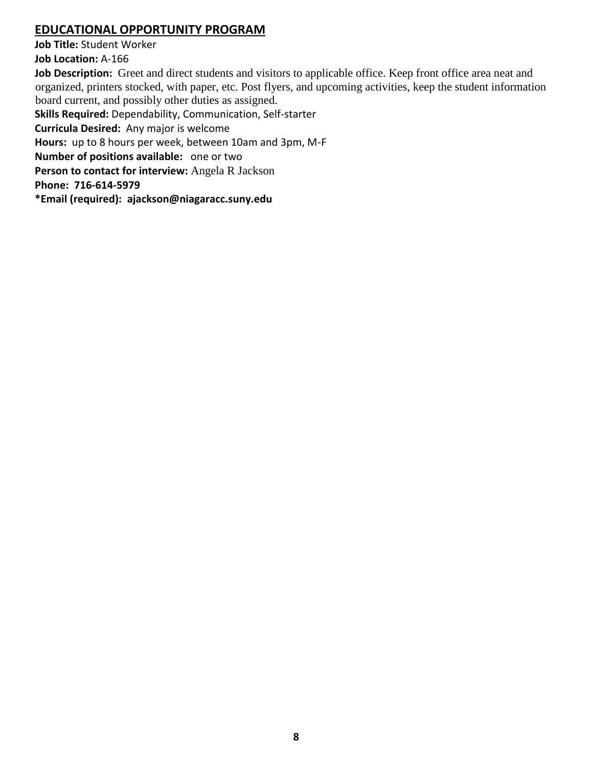# **EDUCATIONAL OPPORTUNITY PROGRAM**

**Job Title:** Student Worker **Job Location:** A-166

**Job Description:** Greet and direct students and visitors to applicable office. Keep front office area neat and organized, printers stocked, with paper, etc. Post flyers, and upcoming activities, keep the student information board current, and possibly other duties as assigned.

**Skills Required:** Dependability, Communication, Self-starter

**Curricula Desired:** Any major is welcome

**Hours:** up to 8 hours per week, between 10am and 3pm, M-F

**Number of positions available:** one or two

**Person to contact for interview:** Angela R Jackson

**Phone: 716-614-5979**

**\*Email (required): ajackson@niagaracc.suny.edu**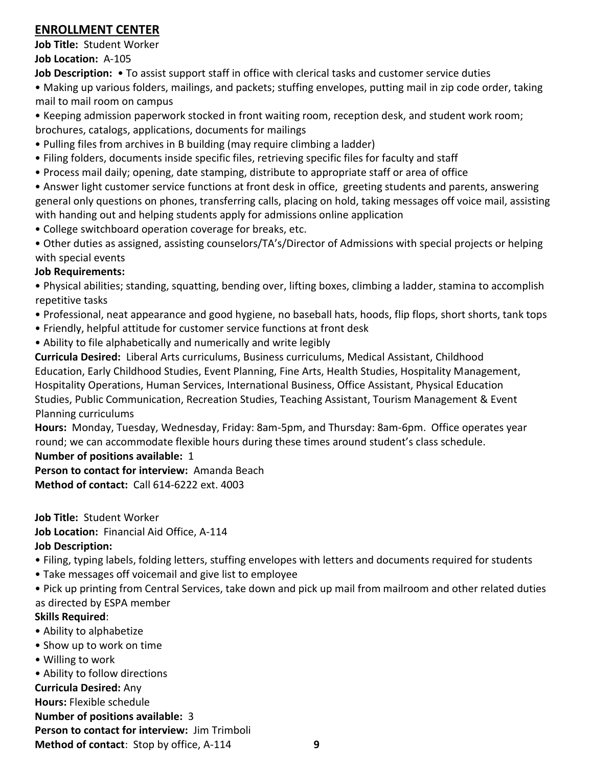# **ENROLLMENT CENTER**

**Job Title:** Student Worker **Job Location:** A-105

**Job Description:** • To assist support staff in office with clerical tasks and customer service duties

• Making up various folders, mailings, and packets; stuffing envelopes, putting mail in zip code order, taking mail to mail room on campus

• Keeping admission paperwork stocked in front waiting room, reception desk, and student work room; brochures, catalogs, applications, documents for mailings

- Pulling files from archives in B building (may require climbing a ladder)
- Filing folders, documents inside specific files, retrieving specific files for faculty and staff
- Process mail daily; opening, date stamping, distribute to appropriate staff or area of office

• Answer light customer service functions at front desk in office, greeting students and parents, answering general only questions on phones, transferring calls, placing on hold, taking messages off voice mail, assisting with handing out and helping students apply for admissions online application

- College switchboard operation coverage for breaks, etc.
- Other duties as assigned, assisting counselors/TA's/Director of Admissions with special projects or helping with special events

#### **Job Requirements:**

• Physical abilities; standing, squatting, bending over, lifting boxes, climbing a ladder, stamina to accomplish repetitive tasks

- Professional, neat appearance and good hygiene, no baseball hats, hoods, flip flops, short shorts, tank tops
- Friendly, helpful attitude for customer service functions at front desk
- Ability to file alphabetically and numerically and write legibly

**Curricula Desired:** Liberal Arts curriculums, Business curriculums, Medical Assistant, Childhood Education, Early Childhood Studies, Event Planning, Fine Arts, Health Studies, Hospitality Management, Hospitality Operations, Human Services, International Business, Office Assistant, Physical Education Studies, Public Communication, Recreation Studies, Teaching Assistant, Tourism Management & Event Planning curriculums

**Hours:** Monday, Tuesday, Wednesday, Friday: 8am-5pm, and Thursday: 8am-6pm. Office operates year round; we can accommodate flexible hours during these times around student's class schedule.

#### **Number of positions available:** 1

**Person to contact for interview:** Amanda Beach **Method of contact:** Call 614-6222 ext. 4003

**Job Title:** Student Worker

**Job Location:** Financial Aid Office, A-114

#### **Job Description:**

- Filing, typing labels, folding letters, stuffing envelopes with letters and documents required for students
- Take messages off voicemail and give list to employee

• Pick up printing from Central Services, take down and pick up mail from mailroom and other related duties as directed by ESPA member

#### **Skills Required**:

- Ability to alphabetize
- Show up to work on time
- Willing to work

• Ability to follow directions

**Curricula Desired:** Any

**Hours:** Flexible schedule

**Number of positions available:** 3

**Person to contact for interview:** Jim Trimboli

**Method of contact**: Stop by office, A-114 **9**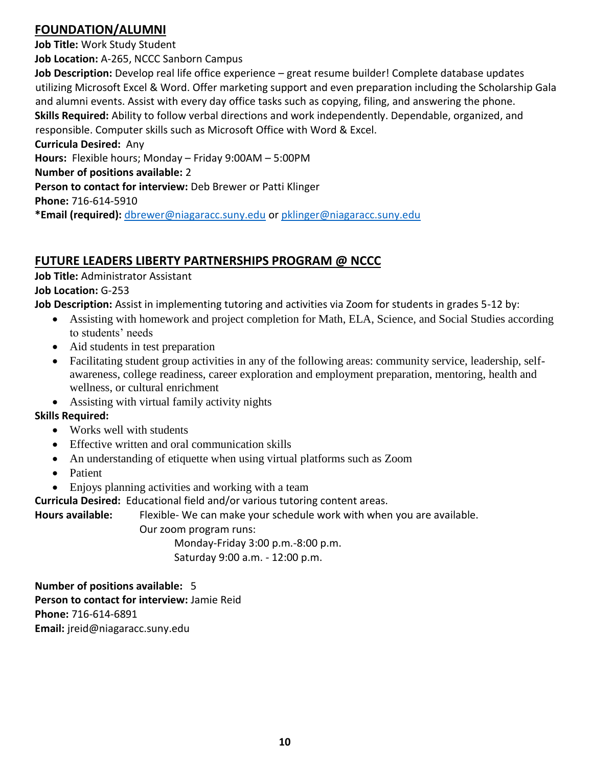# **FOUNDATION/ALUMNI**

**Job Title:** Work Study Student

**Job Location:** A-265, NCCC Sanborn Campus

**Job Description:** Develop real life office experience – great resume builder! Complete database updates utilizing Microsoft Excel & Word. Offer marketing support and even preparation including the Scholarship Gala and alumni events. Assist with every day office tasks such as copying, filing, and answering the phone. **Skills Required:** Ability to follow verbal directions and work independently. Dependable, organized, and responsible. Computer skills such as Microsoft Office with Word & Excel.

**Curricula Desired:** Any

**Hours:** Flexible hours; Monday – Friday 9:00AM – 5:00PM

**Number of positions available:** 2

**Person to contact for interview:** Deb Brewer or Patti Klinger

**Phone:** 716-614-5910

**\*Email (required):** [dbrewer@niagaracc.suny.edu](mailto:dbrewer@niagaracc.suny.edu) or [pklinger@niagaracc.suny.edu](mailto:pklinger@niagaracc.suny.edu)

# **FUTURE LEADERS LIBERTY PARTNERSHIPS PROGRAM @ NCCC**

# **Job Title:** Administrator Assistant

# **Job Location:** G-253

**Job Description:** Assist in implementing tutoring and activities via Zoom for students in grades 5-12 by:

- Assisting with homework and project completion for Math, ELA, Science, and Social Studies according to students' needs
- Aid students in test preparation
- Facilitating student group activities in any of the following areas: community service, leadership, selfawareness, college readiness, career exploration and employment preparation, mentoring, health and wellness, or cultural enrichment
- Assisting with virtual family activity nights

# **Skills Required:**

- Works well with students
- Effective written and oral communication skills
- An understanding of etiquette when using virtual platforms such as Zoom
- Patient
- Enjoys planning activities and working with a team

**Curricula Desired:** Educational field and/or various tutoring content areas.

**Hours available:** Flexible- We can make your schedule work with when you are available.

Our zoom program runs:

Monday-Friday 3:00 p.m.-8:00 p.m.

Saturday 9:00 a.m. - 12:00 p.m.

**Number of positions available:** 5 **Person to contact for interview:** Jamie Reid **Phone:** 716-614-6891 **Email:** jreid@niagaracc.suny.edu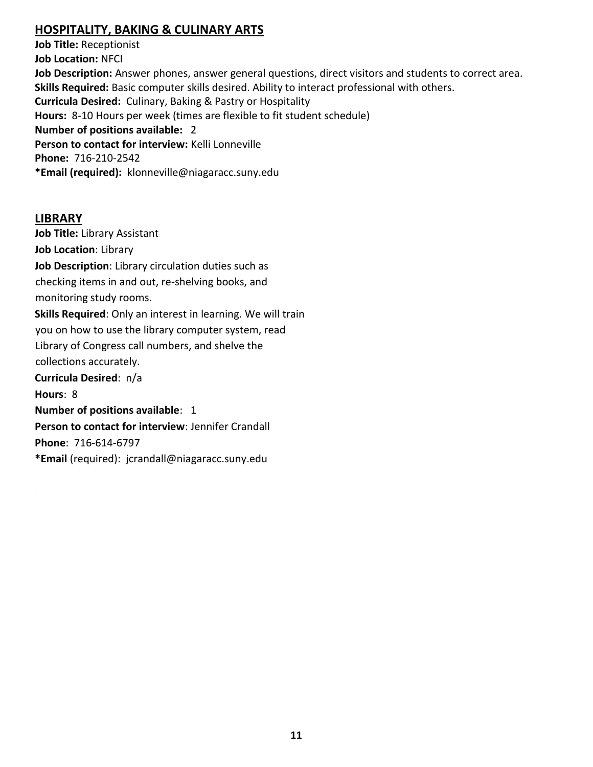# **HOSPITALITY, BAKING & CULINARY ARTS**

**Job Title:** Receptionist **Job Location:** NFCI **Job Description:** Answer phones, answer general questions, direct visitors and students to correct area. **Skills Required:** Basic computer skills desired. Ability to interact professional with others. **Curricula Desired:** Culinary, Baking & Pastry or Hospitality **Hours:** 8-10 Hours per week (times are flexible to fit student schedule) **Number of positions available:** 2 **Person to contact for interview:** Kelli Lonneville **Phone:** 716-210-2542 **\*Email (required):** klonneville@niagaracc.suny.edu

#### **LIBRARY**

**Job Title:** Library Assistant **Job Location**: Library **Job Description**: Library circulation duties such as checking items in and out, re-shelving books, and monitoring study rooms. **Skills Required**: Only an interest in learning. We will train you on how to use the library computer system, read Library of Congress call numbers, and shelve the collections accurately. **Curricula Desired**: n/a **Hours**: 8 **Number of positions available**: 1 **Person to contact for interview**: Jennifer Crandall **Phone**: 716-614-6797 **\*Email** (required): jcrandall@niagaracc.suny.edu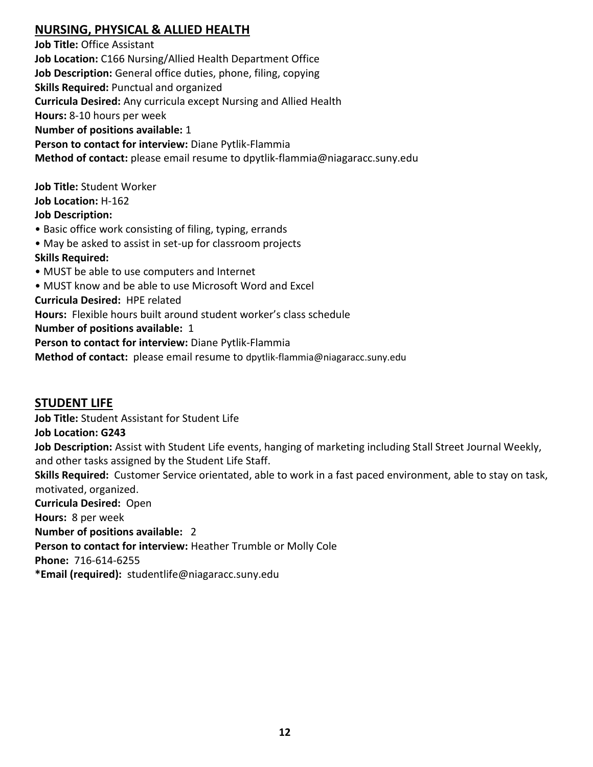# **NURSING, PHYSICAL & ALLIED HEALTH**

**Job Title:** Office Assistant **Job Location:** C166 Nursing/Allied Health Department Office **Job Description:** General office duties, phone, filing, copying **Skills Required:** Punctual and organized **Curricula Desired:** Any curricula except Nursing and Allied Health **Hours:** 8-10 hours per week **Number of positions available:** 1 **Person to contact for interview:** Diane Pytlik-Flammia **Method of contact:** please email resume to dpytlik-flammia@niagaracc.suny.edu

**Job Title:** Student Worker **Job Location:** H-162 **Job Description:**

• Basic office work consisting of filing, typing, errands

• May be asked to assist in set-up for classroom projects

#### **Skills Required:**

• MUST be able to use computers and Internet

• MUST know and be able to use Microsoft Word and Excel

**Curricula Desired:** HPE related

**Hours:** Flexible hours built around student worker's class schedule

**Number of positions available:** 1

**Person to contact for interview:** Diane Pytlik-Flammia

**Method of contact:** please email resume to dpytlik-flammia@niagaracc.suny.edu

# **STUDENT LIFE**

**Job Title:** Student Assistant for Student Life **Job Location: G243 Job Description:** Assist with Student Life events, hanging of marketing including Stall Street Journal Weekly, and other tasks assigned by the Student Life Staff. **Skills Required:** Customer Service orientated, able to work in a fast paced environment, able to stay on task, motivated, organized. **Curricula Desired:** Open **Hours:** 8 per week **Number of positions available:** 2 **Person to contact for interview:** Heather Trumble or Molly Cole **Phone:** 716-614-6255 **\*Email (required):** studentlife@niagaracc.suny.edu